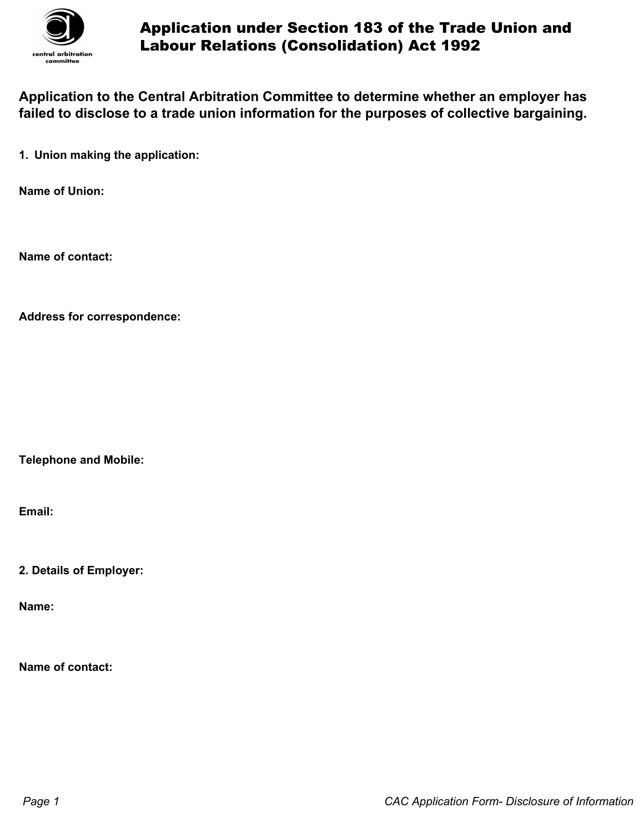

## Application under Section 183 of the Trade Union and Labour Relations (Consolidation) Act 1992

**Application to the Central Arbitration Committee to determine whether an employer has failed to disclose to a trade union information for the purposes of collective bargaining.**

**1. Union making the application:**

**Name of Union:**

**Name of contact:**

**Address for correspondence:**

**Telephone and Mobile:**

**Email:**

**2. Details of Employer:**

**Name:**

**Name of contact:**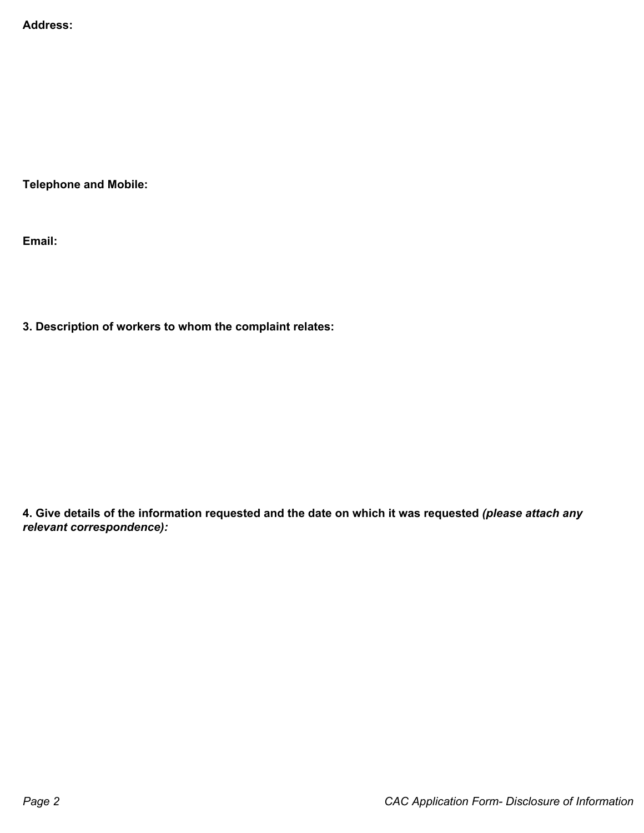**Address:**

**Telephone and Mobile:**

**Email:**

**3. Description of workers to whom the complaint relates:**

**4. Give details of the information requested and the date on which it was requested** *(please attach any relevant correspondence):*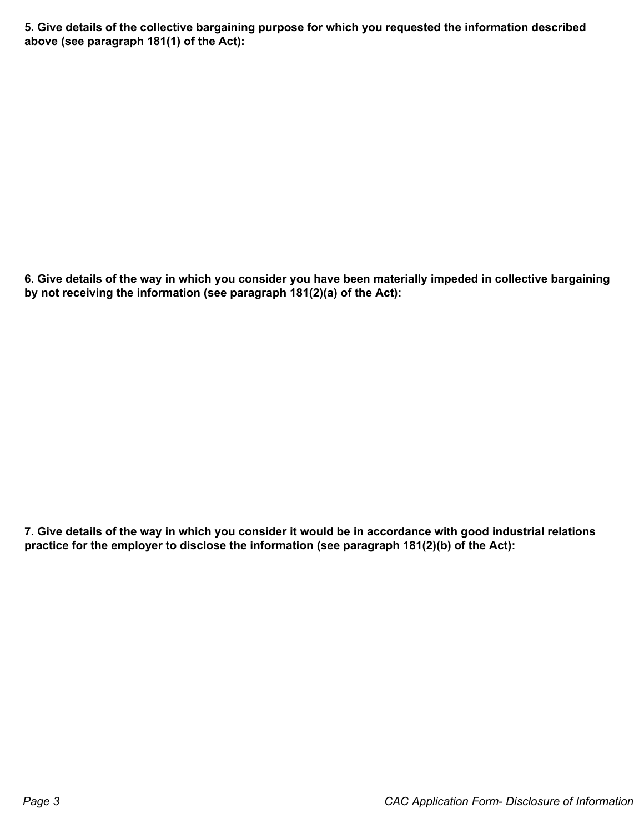**5. Give details of the collective bargaining purpose for which you requested the information described above (see paragraph 181(1) of the Act):**

**6. Give details of the way in which you consider you have been materially impeded in collective bargaining by not receiving the information (see paragraph 181(2)(a) of the Act):**

**7. Give details of the way in which you consider it would be in accordance with good industrial relations practice for the employer to disclose the information (see paragraph 181(2)(b) of the Act):**